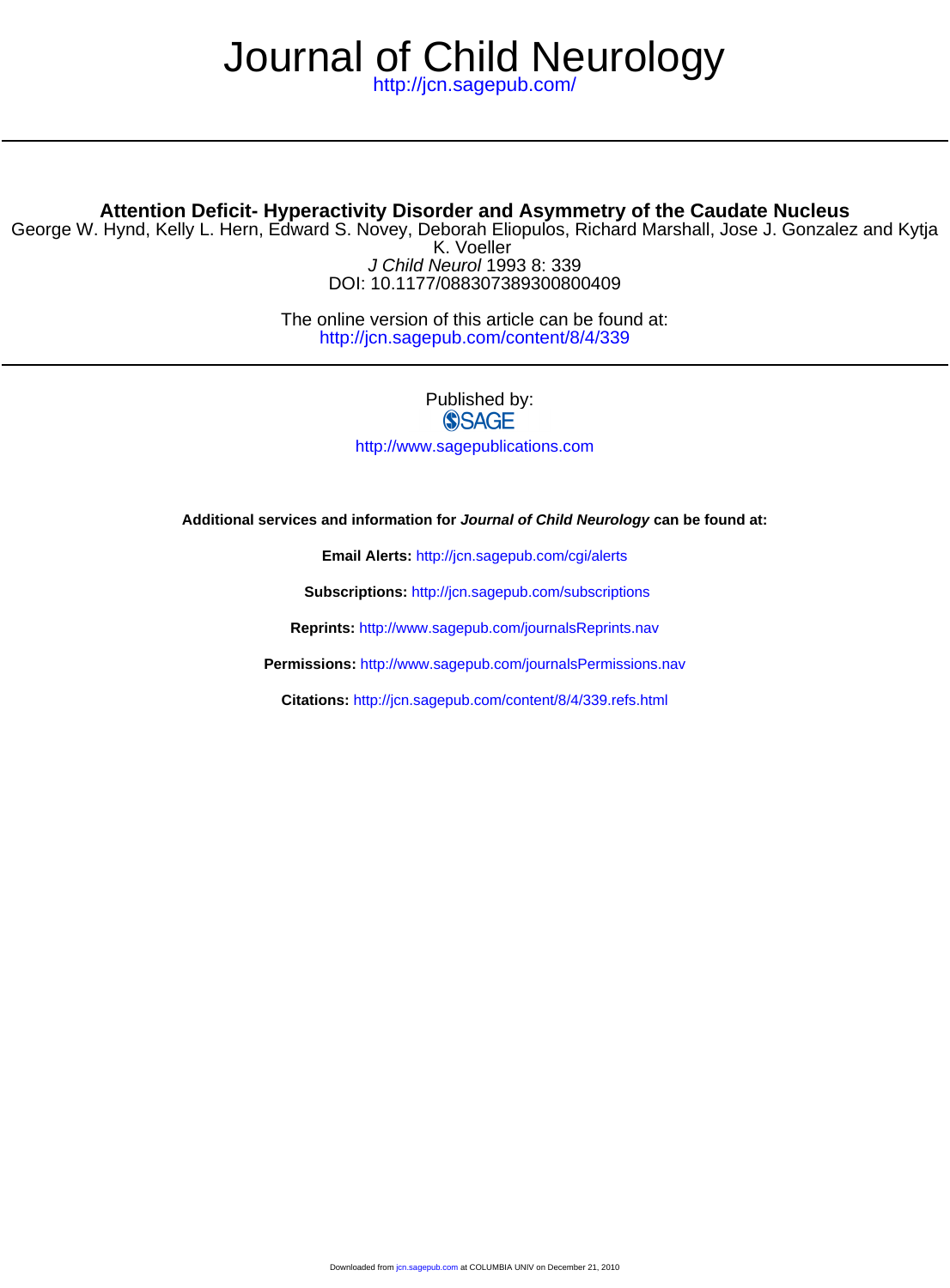## Journal of Child Neurology

<http://jcn.sagepub.com/>

### **Attention Deficit- Hyperactivity Disorder and Asymmetry of the Caudate Nucleus**

J Child Neurol 1993 8: 339 K. Voeller George W. Hynd, Kelly L. Hern, Edward S. Novey, Deborah Eliopulos, Richard Marshall, Jose J. Gonzalez and Kytja

DOI: 10.1177/088307389300800409

<http://jcn.sagepub.com/content/8/4/339> The online version of this article can be found at:

> Published by:<br>
> SAGE <http://www.sagepublications.com>

**Additional services and information for Journal of Child Neurology can be found at:**

**Email Alerts:** <http://jcn.sagepub.com/cgi/alerts>

**Subscriptions:** <http://jcn.sagepub.com/subscriptions>

**Reprints:** <http://www.sagepub.com/journalsReprints.nav>

**Permissions:** <http://www.sagepub.com/journalsPermissions.nav>

**Citations:** <http://jcn.sagepub.com/content/8/4/339.refs.html>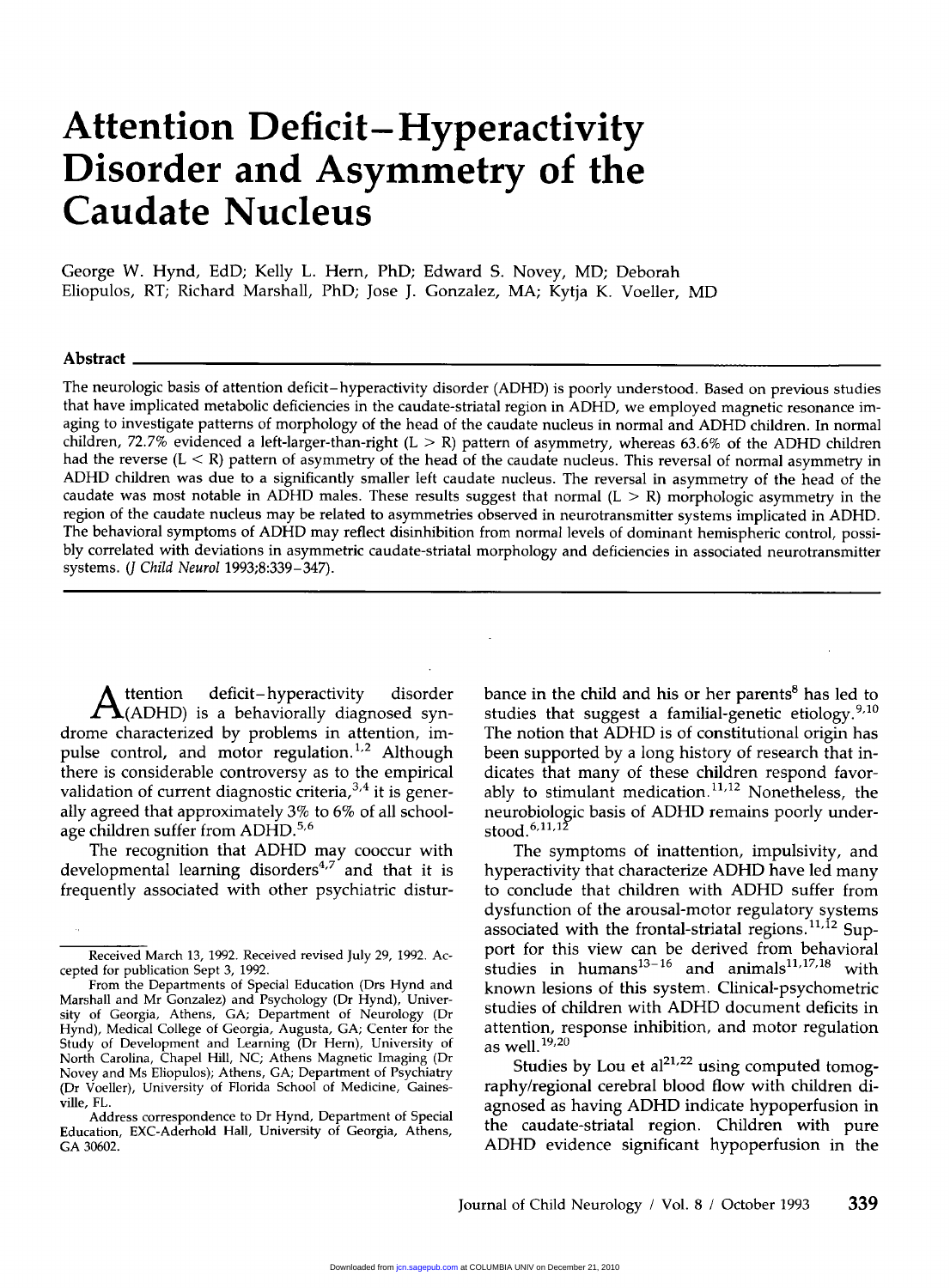# Attention Deficit- Hyperactivity Disorder and Asymmetry of the Caudate Nucleus

George W. Hynd, EdD; Kelly L. Hern, PhD; Edward S. Novey, MD; Deborah Eliopulos, RT; Richard Marshall, PhD; Jose J. Gonzalez, MA; Kytja K. Voeller, MD

#### Abstract

The neurologic basis of attention deficit-hyperactivity disorder (ADHD) is poorly understood. Based on previous studies that have implicated metabolic deficiencies in the caudate-striatal region in ADHD, we employed magnetic resonance imaging to investigate patterns of morphology of the head of the caudate nucleus in normal and ADHD children. In normal children, 72.7% evidenced a left-larger-than-right (L  $> R$ ) pattern of asymmetry, whereas 63.6% of the ADHD children had the reverse  $(L < R)$  pattern of asymmetry of the head of the caudate nucleus. This reversal of normal asymmetry in ADHD children was due to a significantly smaller left caudate nucleus. The reversal in asymmetry of the head of the caudate was most notable in ADHD males. These results suggest that normal  $(L > R)$  morphologic asymmetry in the region of the caudate nucleus may be related to asymmetries observed in neurotransmitter systems implicated in ADHD. The behavioral symptoms of ADHD may reflect disinhibition from normal levels of dominant hemispheric control, possibly correlated with deviations in asymmetric caudate-striatal morphology and deficiencies in associated neurotransmitter systems. (J Child Neurol 1993;8:339-347).

 $A$ <sup>ttention deficit-hyperactivity disorder</sup><br> $A$ (ADHD) is a behaviorally diagnosed syndrome characterized by problems in attention, impulse control, and motor regulation.<sup>1,2</sup> Although there is considerable controversy as to the empirical validation of current diagnostic criteria,  $3,4$  it is generally agreed that approximately 3% to 6% of all schoolage children suffer from ADHD. 5,6

The recognition that ADHD may cooccur with developmental learning disorders<sup>4,7</sup> and that it is frequently associated with other psychiatric disturbance in the child and his or her parents $<sup>8</sup>$  has led to</sup> studies that suggest a familial-genetic etiology.<sup>9,10</sup> The notion that ADHD is of constitutional origin has been supported by a long history of research that indicates that many of these children respond favorably to stimulant medication. $11,12$  Nonetheless, the neurobiologic basis of ADHD remains poorly under- $\rm{stood.}^{6,11,12}$ 

The symptoms of inattention, impulsivity, and hyperactivity that characterize ADHD have led many to conclude that children with ADHD suffer from dysfunction of the arousal-motor regulatory systems associated with the frontal-striatal regions.<sup>11,12</sup> Support for this view can be derived from behavioral studies in humans<sup>13–16</sup> and animals<sup>11,17,18</sup> with known lesions of this system. Clinical-psychometric studies of children with ADHD document deficits in attention, response inhibition, and motor regulation as we11.19,20

Studies by Lou et  $al^{21,22}$  using computed tomography/regional cerebral blood flow with children diagnosed as having ADHD indicate hypoperfusion in the caudate-striatal region. Children with pure ADHD evidence significant hypoperfusion in the

Received March 13, 1992. Received revised July 29, 1992. Accepted for publication Sept 3, 1992.

From the Departments of Special Education (Drs Hynd and Marshall and Mr Gonzalez) and Psychology (Dr Hynd), University of Georgia, Athens, GA; Department of Neurology (Dr Hynd), Medical College of Georgia, Augusta, GA; Center for the Study of Development and Learning (Dr Hern), University of North Carolina, Chapel Hill, NC; Athens Magnetic Imaging (Dr Novey and Ms Eliopulos); Athens, GA; Department of Psychiatry (Dr Voeller), University of Florida School of Medicine, Gainesville, FL.

Address correspondence to Dr Hynd, Department of Special Education, EXC-Aderhold Hall, University of Georgia, Athens, GA 30602.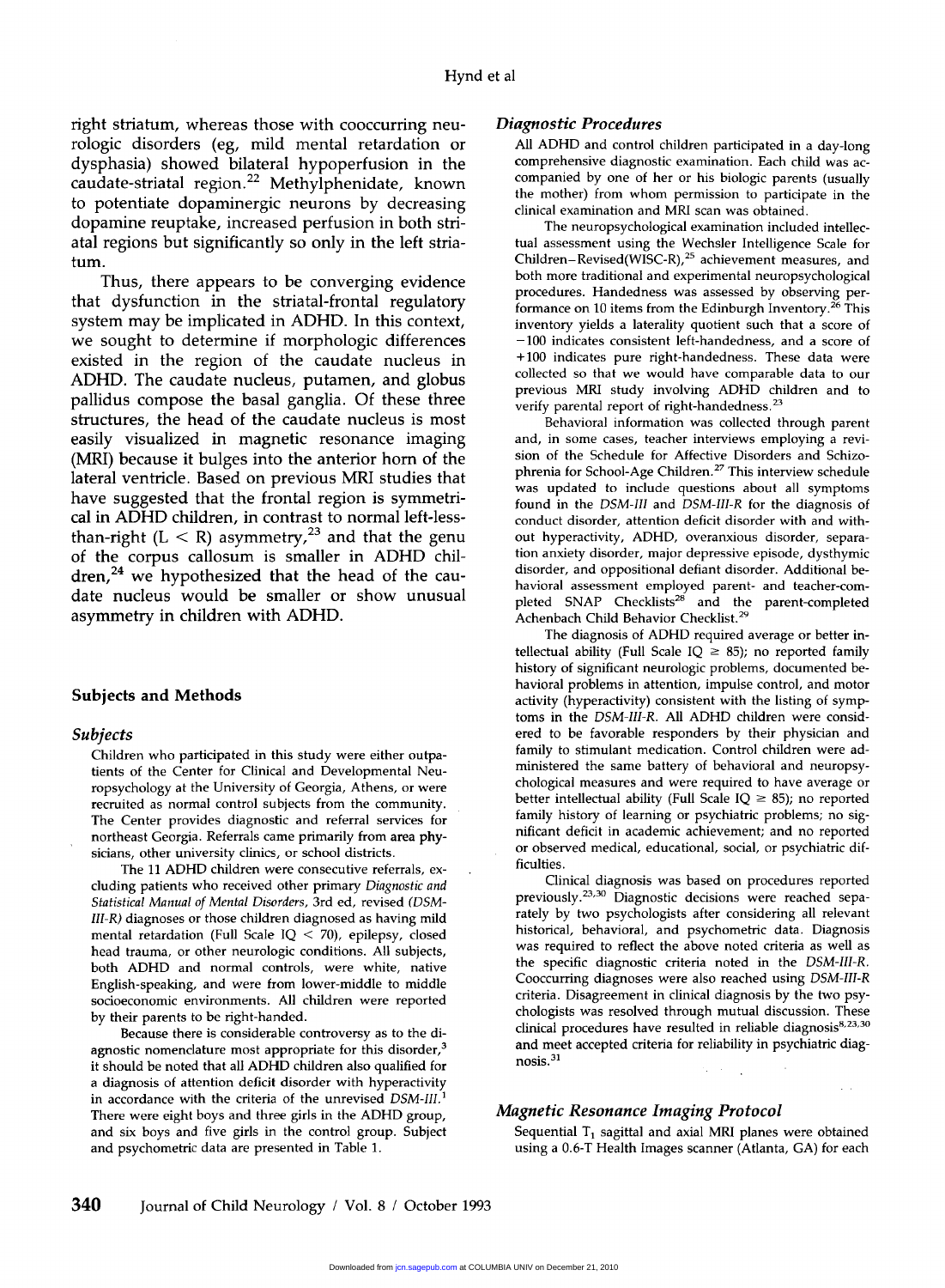right striatum, whereas those with cooccurring neurologic disorders (eg, mild mental retardation or dysphasia) showed bilateral hypoperfusion in the caudate-striatal region.22 Methylphenidate, known to potentiate dopaminergic neurons by decreasing dopamine reuptake, increased perfusion in both striatal regions but significantly so only in the left striatum.

Thus, there appears to be converging evidence that dysfunction in the striatal-frontal regulatory system may be implicated in ADHD. In this context, we sought to determine if morphologic differences existed in the region of the caudate nucleus in ADHD. The caudate nucleus, putamen, and globus pallidus compose the basal ganglia. Of these three structures, the head of the caudate nucleus is most easily visualized in magnetic resonance imaging (MRI) because it bulges into the anterior horn of the lateral ventricle. Based on previous MRI studies that have suggested that the frontal region is symmetrical in ADHD children, in contrast to normal left-lessthan-right ( $L < R$ ) asymmetry,<sup>23</sup> and that the genu of the corpus callosum is smaller in ADHD children,<sup>24</sup> we hypothesized that the head of the caudate nucleus would be smaller or show unusual asymmetry in children with ADHD.

#### Subjects and Methods

#### Subjects

Children who participated in this study were either outpatients of the Center for Clinical and Developmental Neuropsychology at the University of Georgia, Athens, or were recruited as normal control subjects from the community. The Center provides diagnostic and referral services for northeast Georgia. Referrals came primarily from area physicians, other university clinics, or school districts. '

The 11 ADHD children were consecutive referrals, excluding patients who received other primary Diagnostic and Statistical Manual of Mental Disorders, 3rd ed, revised (DSM-111-R) diagnoses or those children diagnosed as having mild mental retardation (Full Scale  $IQ < 70$ ), epilepsy, closed head trauma, or other neurologic conditions. All subjects, both ADHD and normal controls, were white, native English-speaking, and were from lower-middle to middle socioeconomic environments. All children were reported by their parents to be right-handed.

Because there is considerable controversy as to the diagnostic nomenclature most appropriate for this disorder,<sup>3</sup> it should be noted that all ADHD children also qualified for a diagnosis of attention deficit disorder with hyperactivity in accordance with the criteria of the unrevised DSM-III.<sup>1</sup> There were eight boys and three girls in the ADHD group, and six boys and five girls in the control group. Subject and psychometric data are presented in Table 1.

#### Diagnostic Procedures

All ADHD and control children participated in a day-long comprehensive diagnostic examination. Each child was accompanied by one of her or his biologic parents (usually the mother) from whom permission to participate in the clinical examination and MRI scan was obtained.

The neuropsychological examination included intellectual assessment using the Wechsler Intelligence Scale for Children-Revised(WISC-R),<sup>25</sup> achievement measures, and both more traditional and experimental neuropsychological procedures. Handedness was assessed by observing performance on 10 items from the Edinburgh Inventory. $26$  This inventory yields a laterality quotient such that a score of -100 indicates consistent left-handedness, and a score of +100 indicates pure right-handedness. These data were collected so that we would have comparable data to our previous MRI study involving ADHD children and to verify parental report of right-handedness.<sup>23</sup>

Behavioral information was collected through parent and, in some cases, teacher interviews employing a revision of the Schedule for Affective Disorders and Schizophrenia for School-Age Children.2' This interview schedule was updated to include questions about all symptoms found in the DSM-III and DSM-III-R for the diagnosis of conduct disorder, attention deficit disorder with and without hyperactivity, ADHD, overanxious disorder, separation anxiety disorder, major depressive episode, dysthymic disorder, and oppositional defiant disorder. Additional behavioral assessment employed parent- and teacher-completed SNAP Checklists<sup>28</sup> and the parent-completed Achenbach Child Behavior Checklist.<sup>29</sup>

The diagnosis of ADHD required average or better intellectual ability (Full Scale IQ  $\geq$  85); no reported family history of significant neurologic problems, documented behavioral problems in attention, impulse control, and motor activity (hyperactivity) consistent with the listing of symptoms in the DSM-III-R. All ADHD children were considered to be favorable responders by their physician and family to stimulant medication. Control children were administered the same battery of behavioral and neuropsychological measures and were required to have average or better intellectual ability (Full Scale IQ  $\geq$  85); no reported family history of learning or psychiatric problems; no significant deficit in academic achievement; and no reported or observed medical, educational, social, or psychiatric difficulties.

Clinical diagnosis was based on procedures reported previously.23,30 Diagnostic decisions were reached separately by two psychologists after considering all relevant historical, behavioral, and psychometric data. Diagnosis was required to reflect the above noted criteria as well as the specific diagnostic criteria noted in the DSM-III-R. Cooccurring diagnoses were also reached using DSM-III-R criteria. Disagreement in clinical diagnosis by the two psychologists was resolved through mutual discussion. These clinical procedures have resulted in reliable diagnosis<sup>8,23,30</sup> and meet accepted criteria for reliability in psychiatric diag $nosis.<sup>31</sup>$ 

#### Magnetic Resonance Imaging Protocol

Sequential  $T_1$  sagittal and axial MRI planes were obtained using a 0.6-T Health Images scanner (Atlanta, GA) for each

 $\sim$   $\sim$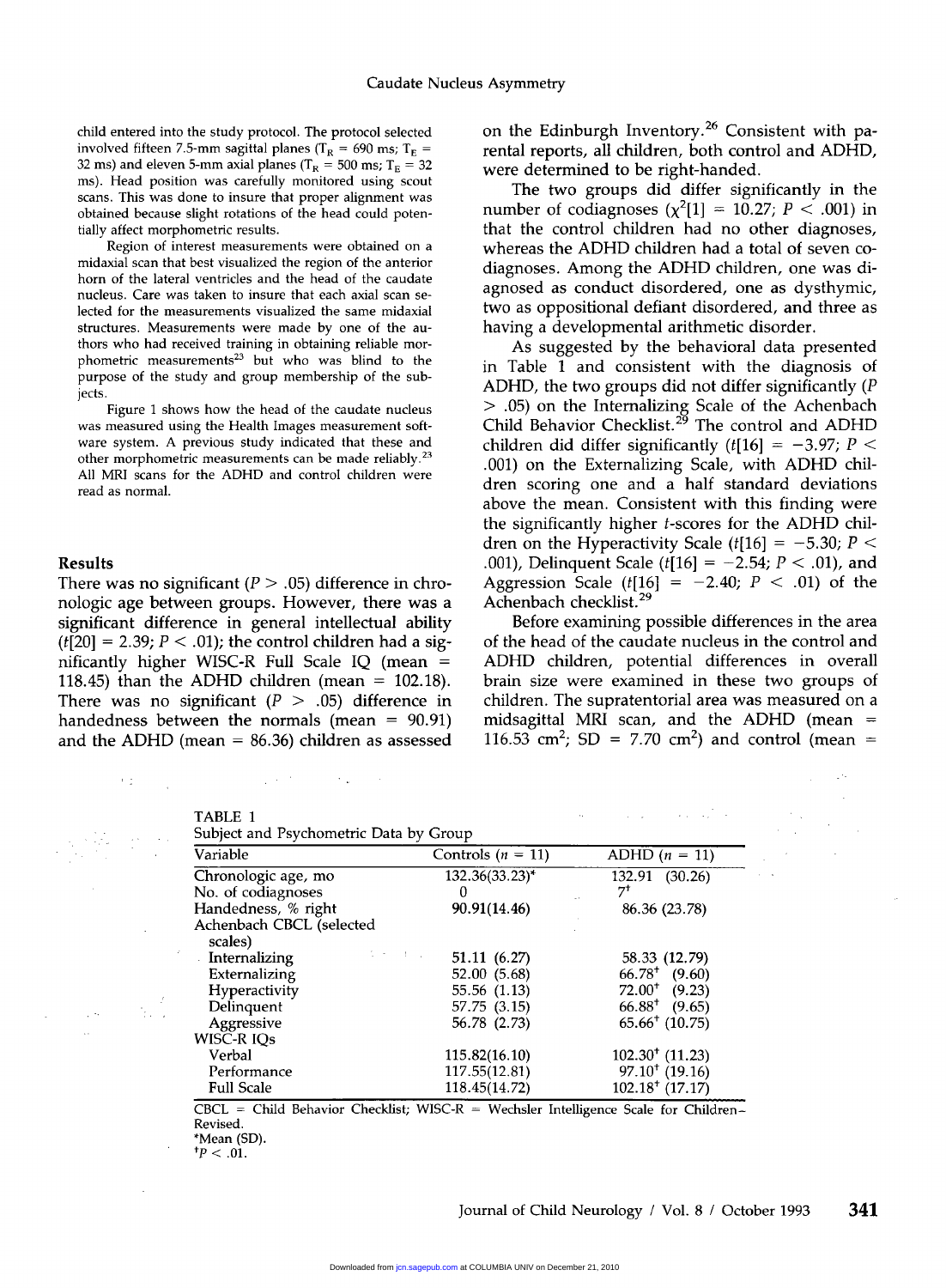child entered into the study protocol. The protocol selected involved fifteen 7.5-mm sagittal planes (T<sub>R</sub> = 690 ms; T<sub>E</sub> = 32 ms) and eleven 5-mm axial planes ( $T_R = 500$  ms;  $T_E = 32$ ms). Head position was carefully monitored using scout scans. This was done to insure that proper alignment was obtained because slight rotations of the head could potentially affect morphometric results.

Region of interest measurements were obtained on a midaxial scan that best visualized the region of the anterior horn of the lateral ventricles and the head of the caudate nucleus. Care was taken to insure that each axial scan selected for the measurements visualized the same midaxial structures. Measurements were made by one of the authors who had received training in obtaining reliable morphometric measurements<sup>23</sup> but who was blind to the purpose of the study and group membership of the subjects.

Figure 1 shows how the head of the caudate nucleus was measured using the Health Images measurement software system. A previous study indicated that these and other morphometric measurements can be made reliably.23 All MRI scans for the ADHD and control children were read as normal.

#### Results

 $\frac{1}{2}$  ,  $\frac{1}{2}$  ,  $\frac{1}{2}$ 

There was no significant ( $P > .05$ ) difference in chronologic age between groups. However, there was a significant difference in general intellectual ability  $(t[20] = 2.39; P < .01)$ ; the control children had a significantly higher WISC-R Full Scale IQ (mean = 118.45) than the ADHD children (mean =  $102.18$ ). There was no significant ( $P > .05$ ) difference in handedness between the normals (mean  $= 90.91$ ) and the ADHD (mean  $= 86.36$ ) children as assessed on the Edinburgh Inventory.<sup>26</sup> Consistent with parental reports, all children, both control and ADHD, were determined to be right-handed.

The two groups did differ significantly in the number of codiagnoses  $(\chi^2[1] \approx 10.27; P < .001)$  in that the control children had no other diagnoses, whereas the ADHD children had a total of seven codiagnoses. Among the ADHD children, one was diagnosed as conduct disordered, one as dysthymic, two as oppositional defiant disordered, and three as having a developmental arithmetic disorder.

As suggested by the behavioral data presented in Table 1 and consistent with the diagnosis of ADHD, the two groups did not differ significantly (P > .05) on the Internalizing Scale of the Achenbach Child Behavior Checklist.<sup>29</sup> The control and ADHD children did differ significantly  $(t[16] = -3.97; P <$ .001) on the Externalizing Scale, with ADHD children scoring one and a half standard deviations above the mean. Consistent with this finding were the significantly higher t-scores for the ADHD children on the Hyperactivity Scale ( $t[16] = -5.30; P <$ .001), Delinquent Scale ( $t[16] = -2.54$ ;  $P < .01$ ), and Aggression Scale (t[16] =  $-2.40; P < .01$ ) of the Achenbach checklist.<sup>29</sup>

Before examining possible differences in the area of the head of the caudate nucleus in the control and ADHD children, potential differences in overall brain size were examined in these two groups of children. The supratentorial area was measured on a midsagittal MRI scan, and the ADHD (mean = 116.53 cm<sup>2</sup>; SD = 7.70 cm<sup>2</sup>) and control (mean =

 $\mathcal{A}$ 

| ---<br>,,,,,<br>$\sim$ |
|------------------------|

 $\mathcal{L}^{\mathcal{L}}(\mathcal{L}^{\mathcal{L}})$  and  $\mathcal{L}^{\mathcal{L}}(\mathcal{L}^{\mathcal{L}})$  and  $\mathcal{L}^{\mathcal{L}}(\mathcal{L}^{\mathcal{L}})$  and  $\mathcal{L}^{\mathcal{L}}(\mathcal{L}^{\mathcal{L}})$ 

| Subject and Psychometric Data by Group |                          |                     |  |  |  |  |
|----------------------------------------|--------------------------|---------------------|--|--|--|--|
| Variable                               | Controls ( $n = 11$ )    | $ADHD (n = 11)$     |  |  |  |  |
| Chronologic age, mo                    | 132.36(33.23)*           | 132.91<br>(30.26)   |  |  |  |  |
| No. of codiagnoses                     | 0<br>u,                  | 7†                  |  |  |  |  |
| Handedness, % right                    | 90.91(14.46)             | 86.36 (23.78)       |  |  |  |  |
| Achenbach CBCL (selected<br>scales)    |                          |                     |  |  |  |  |
| Internalizing                          | Der Help<br>51.11 (6.27) | 58.33 (12.79)       |  |  |  |  |
| Externalizing                          | 52.00 (5.68)             | $66.78^+$ (9.60)    |  |  |  |  |
| Hyperactivity                          | 55.56 (1.13)             | $72.00^+$ (9.23)    |  |  |  |  |
| Delinquent                             | 57.75 (3.15)             | $66.88^+$ (9.65)    |  |  |  |  |
| Aggressive                             | 56.78 (2.73)             | $65.66+$ (10.75)    |  |  |  |  |
| WISC-R IQ <sub>s</sub>                 |                          |                     |  |  |  |  |
| Verbal                                 | 115.82(16.10)            | $102.30^+$ (11.23)  |  |  |  |  |
| Performance                            | 117.55(12.81)            | $97.10^{+}$ (19.16) |  |  |  |  |
| <b>Full Scale</b>                      | 118.45(14.72)            | $102.18+$ (17.17)   |  |  |  |  |

 $CBCL$  = Child Behavior Checklist; WISC-R = Wechsler Intelligence Scale for Children-Revised.

\*Mean (SD).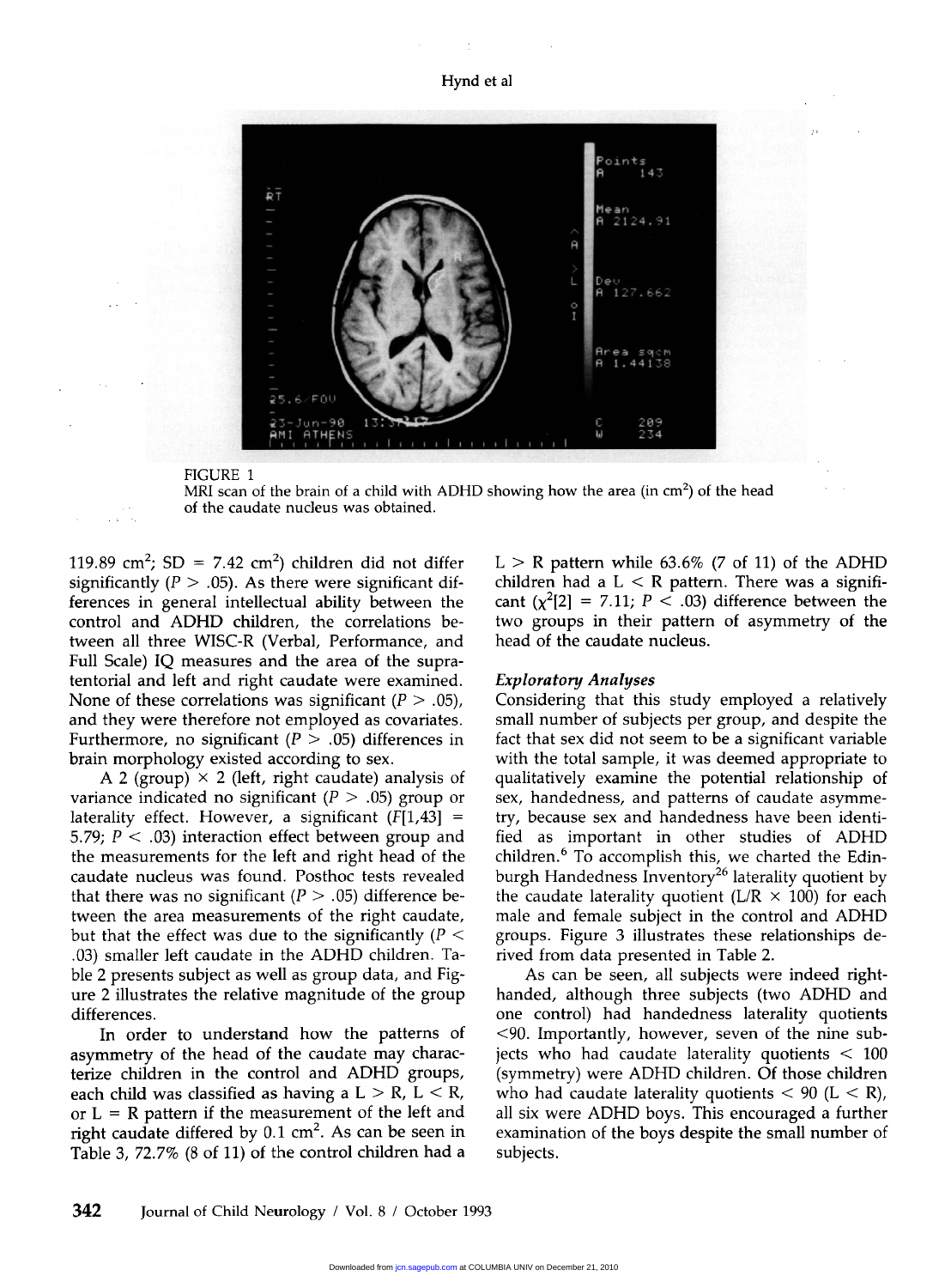



119.89 cm<sup>2</sup>; SD = 7.42 cm<sup>2</sup>) children did not differ significantly ( $P > .05$ ). As there were significant differences in general intellectual ability between the control and ADHD children, the correlations between all three WISC-R (Verbal, Performance, and Full Scale) IQ measures and the area of the supratentorial and left and right caudate were examined. None of these correlations was significant ( $P > .05$ ), and they were therefore not employed as covariates. Furthermore, no significant ( $P > .05$ ) differences in brain morphology existed according to sex.

A 2 (group)  $\times$  2 (left, right caudate) analysis of variance indicated no significant ( $P > .05$ ) group or laterality effect. However, a significant  $(F[1,43] =$ 5.79;  $P < .03$ ) interaction effect between group and the measurements for the left and right head of the caudate nucleus was found. Posthoc tests revealed that there was no significant ( $P > .05$ ) difference between the area measurements of the right caudate, but that the effect was due to the significantly  $(P \leq$ .03) smaller left caudate in the ADHD children. Table 2 presents subject as well as group data, and Fig ure 2 illustrates the relative magnitude of the group differences.

In order to understand how the patterns of asymmetry of the head of the caudate may characterize children in the control and ADHD groups, each child was classified as having a  $L > R$ ,  $L < R$ , or  $L = R$  pattern if the measurement of the left and right caudate differed by  $0.1 \text{ cm}^2$ . As can be seen in Table 3, 72.7% (8 of 11) of the control children had a

 $L > R$  pattern while 63.6% (7 of 11) of the ADHD children had a  $L < R$  pattern. There was a significant  $(\chi^2[2] = 7.11; P < .03)$  difference between the two groups in their pattern of asymmetry of the head of the caudate nucleus.

#### Exploratory Analyses

Considering that this study employed a relatively small number of subjects per group, and despite the fact that sex did not seem to be a significant variable with the total sample, it was deemed appropriate to qualitatively examine the potential relationship of sex, handedness, and patterns of caudate asymmetry, because sex and handedness have been identified as important in other studies of ADHD children.<sup>6</sup> To accomplish this, we charted the Edin-<br>burgh Handedness Inventory<sup>26</sup> laterality quotient by the caudate laterality quotient (L/R  $\times$  100) for each male and female subject in the control and ADHD groups. Figure 3 illustrates these relationships derived from data presented in Table 2.

As can be seen, all subjects were indeed righthanded, although three subjects (two ADHD and one control) had handedness laterality quotients <90. Importantly, however, seven of the nine subjects who had caudate laterality quotients < 100 (symmetry) were ADHD children. Of those children who had caudate laterality quotients  $< 90$  (L  $<$  R), all six were ADHD boys. This encouraged a further examination of the boys despite the small number of subjects.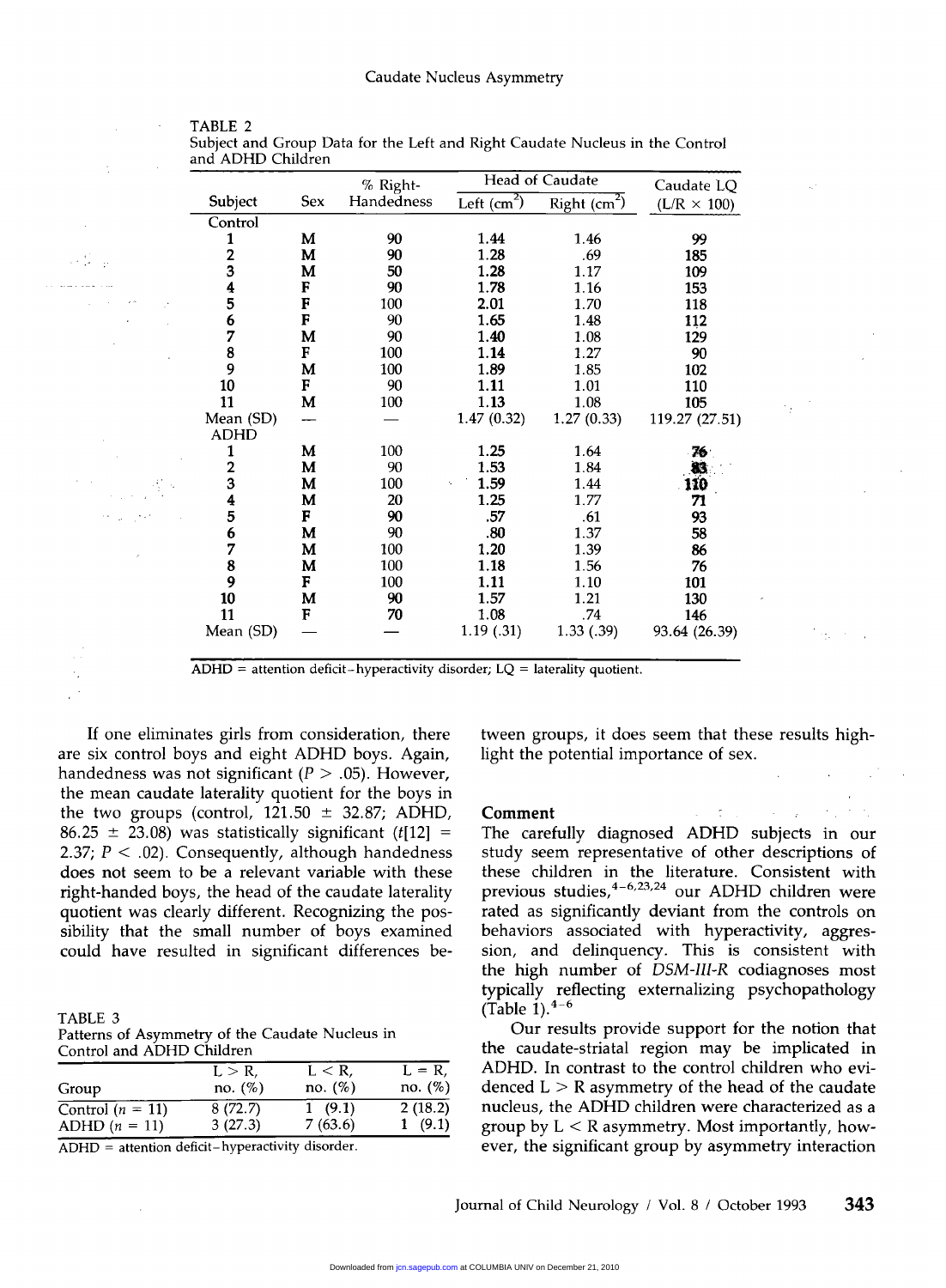|                                                 |           | % Right-   |                          | Head of Caudate |                    |  |
|-------------------------------------------------|-----------|------------|--------------------------|-----------------|--------------------|--|
| Subject                                         | Sex       | Handedness | Left $\overline{(cm^2)}$ | Right $(cm2)$   | $(L/R \times 100)$ |  |
| Control                                         |           |            |                          |                 |                    |  |
| $\mathbf{1}$                                    | M         | 90         | 1.44                     | 1.46            | 99                 |  |
| $\overline{c}$                                  | M         | 90         | 1.28                     | .69             | 185                |  |
| $\begin{array}{c} 3 \\ 4 \\ 5 \\ 6 \end{array}$ | M         | 50         | 1.28                     | 1.17            | 109                |  |
|                                                 | F         | 90         | 1.78                     | 1.16            | 153                |  |
|                                                 | F         | 100        | 2.01                     | 1.70            | 118                |  |
|                                                 | F         | 90         | 1.65                     | 1.48            | 112                |  |
| 7                                               | M         | 90         | 1.40                     | 1.08            | 129                |  |
| 8                                               | ${\bf F}$ | 100        | 1.14                     | 1.27            | 90                 |  |
| 9                                               | M         | 100        | 1.89                     | 1.85            | 102                |  |
| 10                                              | F         | 90         | 1.11                     | 1.01            | 110                |  |
| 11                                              | M         | 100        | 1.13                     | 1.08            | 105                |  |
| Mean (SD)                                       |           |            | 1.47(0.32)               | 1.27(0.33)      | 119.27 (27.51)     |  |
| <b>ADHD</b>                                     |           |            |                          |                 |                    |  |
| 1                                               | M         | 100        | 1.25                     | 1.64            | 76.                |  |
| 2                                               | M         | 90         | 1.53                     | 1.84            | 83.                |  |
|                                                 | M         | 100        | 1.59                     | 1.44            | 110                |  |
| 34567                                           | M         | 20         | 1.25                     | 1.77            | 71                 |  |
|                                                 | F         | 90         | .57                      | .61             | 93                 |  |
|                                                 | M         | 90         | .80                      | 1.37            | 58                 |  |
|                                                 | M         | 100        | 1.20                     | 1.39            | 86                 |  |
| 8                                               | M         | 100        | 1.18                     | 1.56            | 76                 |  |
| 9                                               | F         | 100        | 1.11                     | 1.10            | 101                |  |
| 10                                              | M         | 90         | 1.57                     | 1.21            | 130                |  |
| 11                                              | F         | 70         | 1.08                     | .74             | 146                |  |
| Mean (SD)                                       |           |            | 1.19(0.31)               | 1.33(0.39)      | 93.64 (26.39)      |  |
|                                                 |           |            |                          |                 |                    |  |

| TABLE 2           |  |  |  |  |                                                                              |  |  |
|-------------------|--|--|--|--|------------------------------------------------------------------------------|--|--|
|                   |  |  |  |  | Subject and Group Data for the Left and Right Caudate Nucleus in the Control |  |  |
| and ADHD Children |  |  |  |  |                                                                              |  |  |

 $ADHD =$  attention deficit-hyperactivity disorder;  $LQ =$  laterality quotient.

If one eliminates girls from consideration, there are six control boys and eight ADHD boys. Again, handedness was not significant ( $P > .05$ ). However, the mean caudate laterality quotient for the boys in the two groups (control,  $121.50 \pm 32.87$ ; ADHD,  $86.25 \pm 23.08$ ) was statistically significant (t[12] = 2.37;  $P < 0.02$ ). Consequently, although handedness does not seem to be a relevant variable with these right-handed boys, the head of the caudate laterality quotient was clearly different. Recognizing the possibility that the small number of boys examined could have resulted in significant differences be-

ak jiha المتاب المنتقلة المتعلمات الأنابا

TABLE 3 Patterns of Asymmetry of the Caudate Nucleus in Control and ADHD Children

|                    | L > R   | $L < R$ , | $L = R$ . |
|--------------------|---------|-----------|-----------|
| Group              | no. (%) | no. (%)   | no. (%)   |
| Control $(n = 11)$ | 8(72.7) | 1(9.1)    | 2(18.2)   |
| ADHD $(n = 11)$    | 3(27.3) | 7(63.6)   | 1(9.1)    |

 $ADHD =$  attention deficit-hyperactivity disorder.

tween groups, it does seem that these results highlight the potential importance of sex.

#### Comment and the state of the state of the state of the state of the state of the state of the state of the state of the state of the state of the state of the state of the state of the state of the state of the state of th

The carefully diagnosed ADHD subjects in our study seem representative of other descriptions of these children in the literature. Consistent with previous studies,4-6,23,24 our ADHD children were rated as significantly deviant from the controls on behaviors associated with hyperactivity, aggression, and delinquency. This is consistent with the high number of DSM-III-R codiagnoses most typically reflecting externalizing psychopathology (Table 1). $4-6$ 

Our results provide support for the notion that the caudate-striatal region may be implicated in ADHD. In contrast to the control children who evidenced  $L > R$  asymmetry of the head of the caudate nucleus, the ADHD children were characterized as a group by  $L < R$  asymmetry. Most importantly, however, the significant group by asymmetry interaction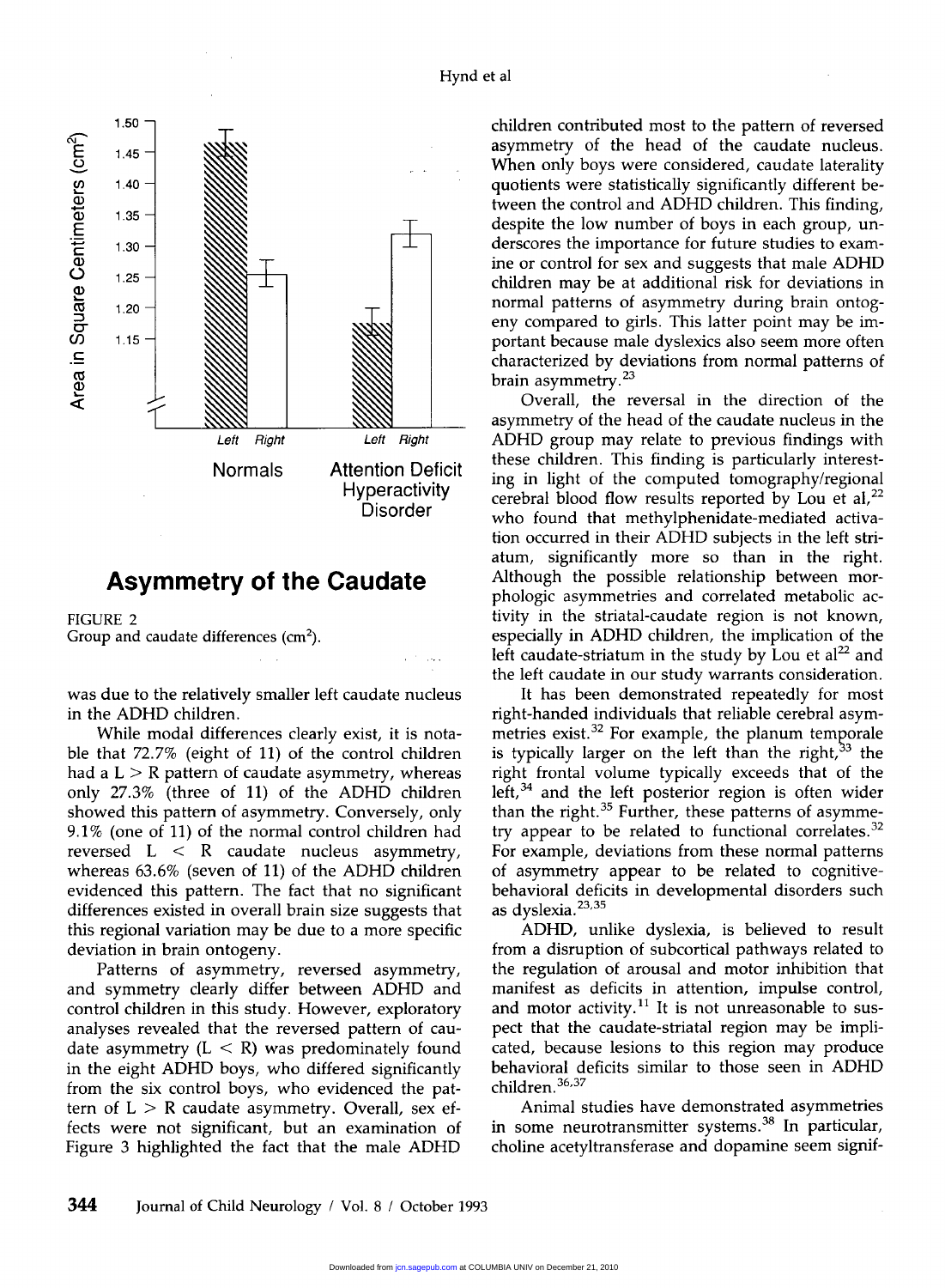

## **Asymmetry of the Caudate**

FIGURE 2

Group and caudate differences  $(cm<sup>2</sup>)$ .

was due to the relatively smaller left caudate nucleus in the ADHD children.

While modal differences clearly exist, it is notable that 72.7% (eight of 11) of the control children had a  $L > R$  pattern of caudate asymmetry, whereas only 27.3% (three of 11) of the ADHD children showed this pattern of asymmetry. Conversely, only 9.1% (one of 11) of the normal control children had reversed  $L < R$  caudate nucleus asymmetry, whereas 63.6% (seven of 11) of the ADHD children evidenced this pattern. The fact that no significant differences existed in overall brain size suggests that this regional variation may be due to a more specific deviation in brain ontogeny.

Patterns of asymmetry, reversed asymmetry, and symmetry clearly differ between ADHD and control children in this study. However, exploratory analyses revealed that the reversed pattern of caudate asymmetry  $(L < R)$  was predominately found in the eight ADHD boys, who differed significantly from the six control boys, who evidenced the pattern of  $L > R$  caudate asymmetry. Overall, sex effects were not significant, but an examination of Figure 3 highlighted the fact that the male ADHD

children contributed most to the pattern of reversed asymmetry of the head of the caudate nucleus. When only boys were considered, caudate laterality quotients were statistically significantly different between the control and ADHD children. This finding, despite the low number of boys in each group, underscores the importance for future studies to examine or control for sex and suggests that male ADHD children may be at additional risk for deviations in normal patterns of asymmetry during brain ontogeny compared to girls. This latter point may be important because male dyslexics also seem more often characterized by deviations from normal patterns of brain asymmetry.<sup>23</sup>

Overall, the reversal in the direction of the asymmetry of the head of the caudate nucleus in the ADHD group may relate to previous findings with these children. This finding is particularly interesting in light of the computed tomography/regional cerebral blood flow results reported by Lou et al, $^{22}$ who found that methylphenidate-mediated activation occurred in their ADHD subjects in the left striatum, significantly more so than in the right. Although the possible relationship between morphologic asymmetries and correlated metabolic activity in the striatal-caudate region is not known, especially in ADHD children, the implication of the left caudate-striatum in the study by Lou et  $al^{22}$  and the left caudate in our study warrants consideration.

It has been demonstrated repeatedly for most right-handed individuals that reliable cerebral asymmetries exist. $32$  For example, the planum temporale is typically larger on the left than the right,  $33$  the right frontal volume typically exceeds that of the left, $34$  and the left posterior region is often wider than the right. $35$  Further, these patterns of asymmetry appear to be related to functional correlates.<sup>32</sup> For example, deviations from these normal patterns of asymmetry appear to be related to cognitivebehavioral deficits in developmental disorders such as dyslexia.<sup>23,35</sup>

ADHD, unlike dyslexia, is believed to result from a disruption of subcortical pathways related to the regulation of arousal and motor inhibition that manifest as deficits in attention, impulse control, and motor activity.<sup>11</sup> It is not unreasonable to suspect that the caudate-striatal region may be implicated, because lesions to this region may produce behavioral deficits similar to those seen in ADHD children.<sup>36,37</sup>

Animal studies have demonstrated asymmetries in some neurotransmitter systems.<sup>38</sup> In particular, choline acetyltransferase and dopamine seem signif-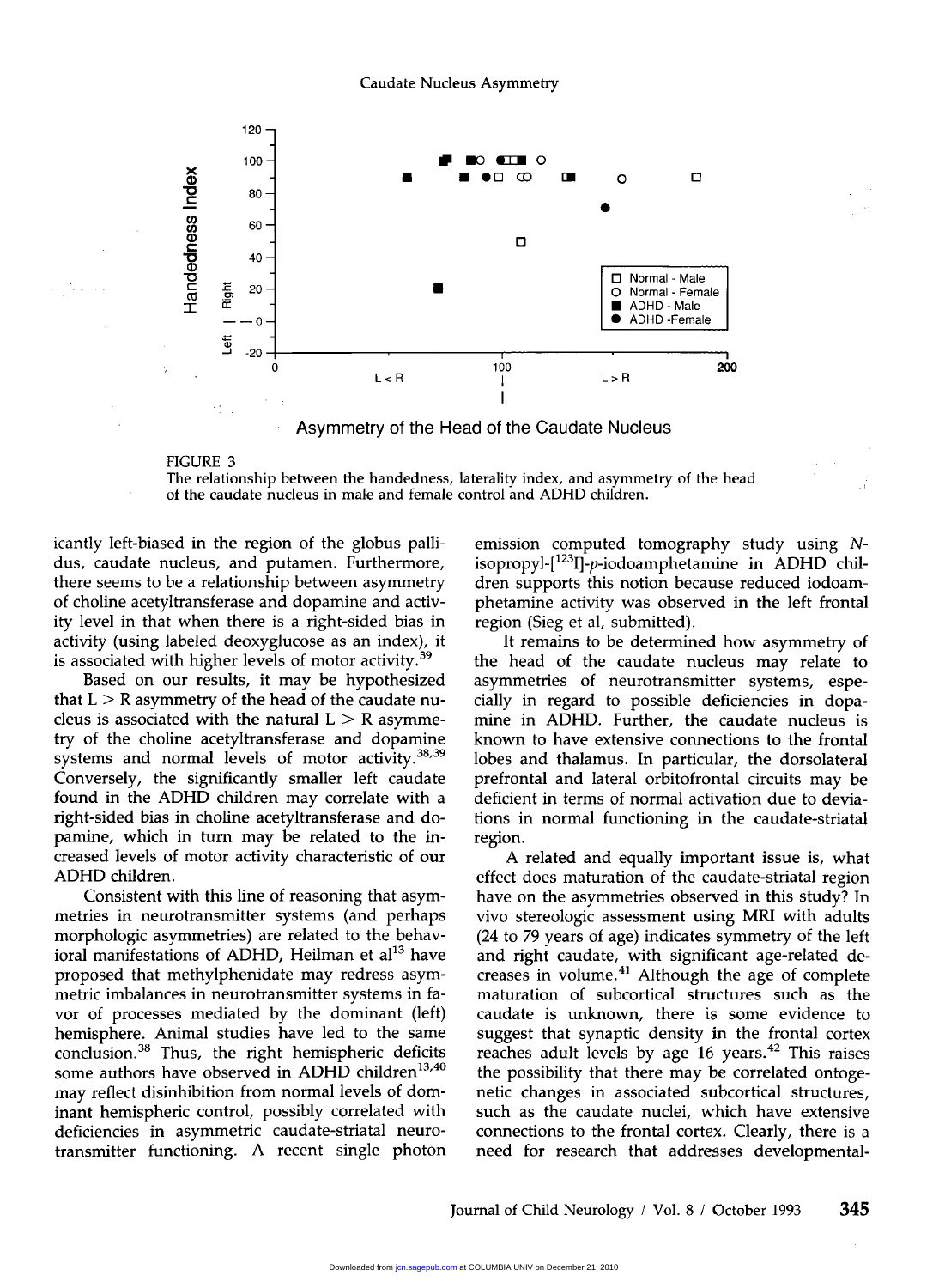

Asymmetry of the Head of the Caudate Nucleus

#### FIGURE 3

The relationship between the handedness, laterality index, and asymmetry of the head of the caudate nucleus in male and female control and ADHD children.

icantly left-biased in the region of the globus pallidus, caudate nucleus, and putamen. Furthermore, there seems to be a relationship between asymmetry of choline acetyltransferase and dopamine and activity level in that when there is a right-sided bias in activity (using labeled deoxyglucose as an index), it is associated with higher levels of motor activity.<sup>39</sup>

Based on our results, it may be hypothesized that  $L > R$  asymmetry of the head of the caudate nucleus is associated with the natural  $L > R$  asymmetry of the choline acetyltransferase and dopamine systems and normal levels of motor activity.<sup>38,39</sup> Conversely, the significantly smaller left caudate found in the ADHD children may correlate with a right-sided bias in choline acetyltransferase and dopamine, which in turn may be related to the increased levels of motor activity characteristic of our ADHD children.

Consistent with this line of reasoning that asymmetries in neurotransmitter systems (and perhaps morphologic asymmetries) are related to the behavioral manifestations of ADHD, Heilman et al<sup>13</sup> have proposed that methylphenidate may redress asymmetric imbalances in neurotransmitter systems in favor of processes mediated by the dominant (left) hemisphere. Animal studies have led to the same conclusion.38 Thus, the right hemispheric deficits some authors have observed in ADHD children<sup>13,40</sup> may reflect disinhibition from normal levels of dominant hemispheric control, possibly correlated with deficiencies in asymmetric caudate-striatal neurotransmitter functioning. A recent single photon emission computed tomography study using Nisopropyl- $[1^{23}I]$ -p-iodoamphetamine in ADHD children supports this notion because reduced iodoamphetamine activity was observed in the left frontal region (Sieg et al, submitted).

It remains to be determined how asymmetry of the head of the caudate nucleus may relate to asymmetries of neurotransmitter systems, especially in regard to possible deficiencies in dopamine in ADHD. Further, the caudate nucleus is known to have extensive connections to the frontal lobes and thalamus. In particular, the dorsolateral prefrontal and lateral orbitofrontal circuits may be deficient in terms of normal activation due to deviations in normal functioning in the caudate-striatal region.

A related and equally important issue is, what effect does maturation of the caudate-striatal region have on the asymmetries observed in this study? In vivo stereologic assessment using MRI with adults (24 to 79 years of age) indicates symmetry of the left and right caudate, with significant age-related decreases in volume. $41$  Although the age of complete maturation of subcortical structures such as the caudate is unknown, there is some evidence to suggest that synaptic density in the frontal cortex reaches adult levels by age 16 years. $42$  This raises the possibility that there may be correlated ontogenetic changes in associated subcortical structures, such as the caudate nuclei, which have extensive connections to the frontal cortex. Clearly, there is a need for research that addresses developmental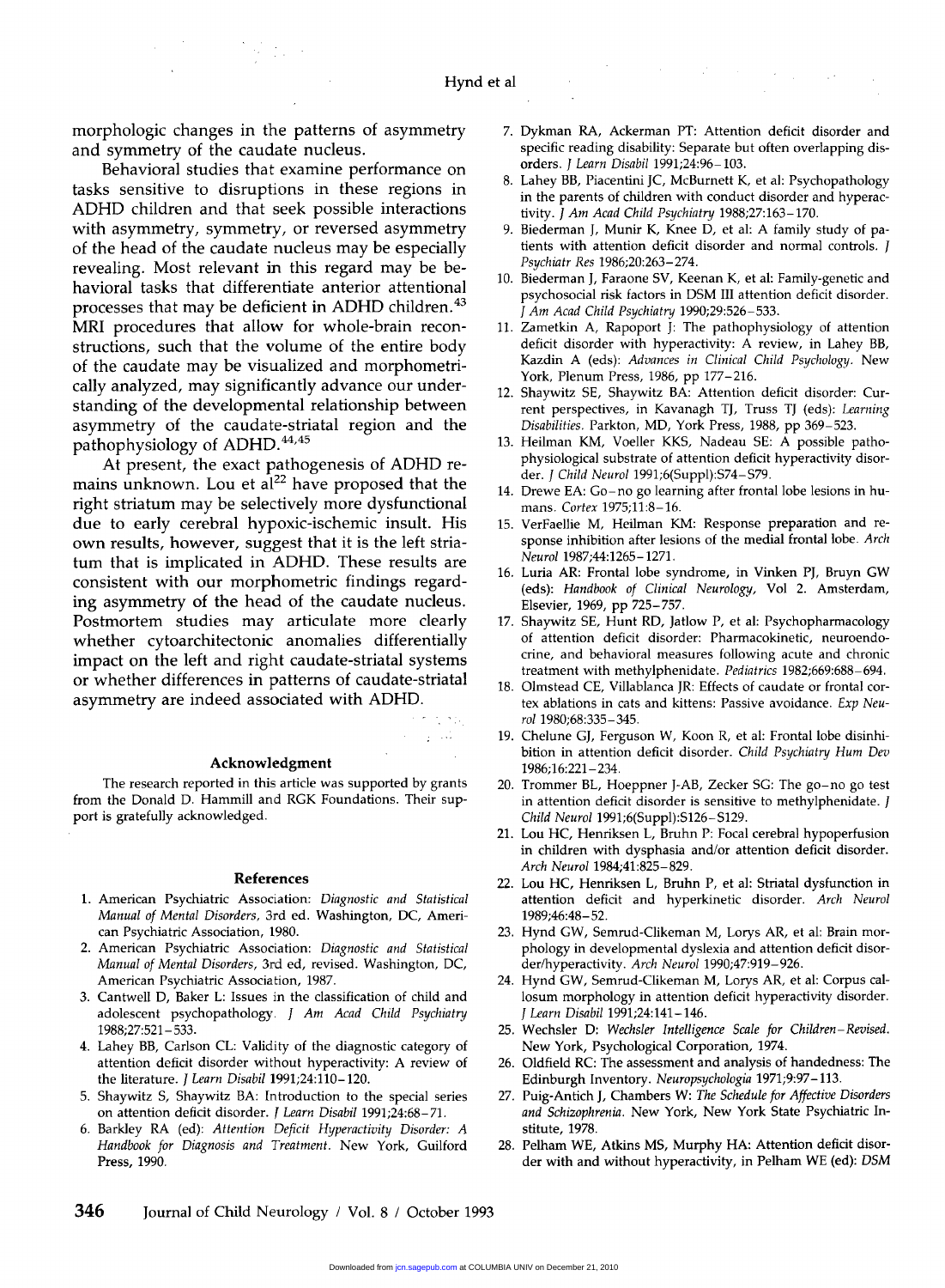morphologic changes in the patterns of asymmetry and symmetry of the caudate nucleus.

 $\label{eq:2.1} \frac{\partial \mathcal{L}_{\mathcal{A}}}{\partial \mathcal{L}_{\mathcal{A}}} = \frac{\partial \mathcal{L}_{\mathcal{A}}}{\partial \mathcal{L}_{\mathcal{A}}} \mathcal{L}_{\mathcal{A}} \mathcal{L}_{\mathcal{A}}$ 

Behavioral studies that examine performance on tasks sensitive to disruptions in these regions in ADHD children and that seek possible interactions with asymmetry, symmetry, or reversed asymmetry of the head of the caudate nucleus may be especially revealing. Most relevant in this regard may be behavioral tasks that differentiate anterior attentional processes that may be deficient in ADHD children.<sup>43</sup> MRI procedures that allow for whole-brain reconstructions, such that the volume of the entire body of the caudate may be visualized and morphometrically analyzed, may significantly advance our understanding of the developmental relationship between asymmetry of the caudate-striatal region and the pathophysiology of ADHD. 44,45

At present, the exact pathogenesis of ADHD remains unknown. Lou et  $al<sup>22</sup>$  have proposed that the right striatum may be selectively more dysfunctional due to early cerebral hypoxic-ischemic insult. His own results, however, suggest that it is the left striatum that is implicated in ADHD. These results are consistent with our morphometric findings regarding asymmetry of the head of the caudate nucleus. Postmortem studies may articulate more clearly whether cytoarchitectonic anomalies differentially impact on the left and right caudate-striatal systems or whether differences in patterns of caudate-striatal asymmetry are indeed associated with ADHD.

#### Acknowledgment

The research reported in this article was supported by grants from the Donald D. Hammill and RGK Foundations. Their support is gratefully acknowledged.

#### References

- 1. American Psychiatric Association: Diagnostic and Statistical Manual of Mental Disorders, 3rd ed. Washington, DC, American Psychiatric Association, 1980.
- 2. American Psychiatric Association: Diagnostic and Statistical Manual of Mental Disorders, 3rd ed, revised. Washington, DC, American Psychiatric Association, 1987.
- 3. Cantwell D, Baker L: Issues in the classification of child and adolescent psychopathology. J Am Acad Child Psychiatry 1988;27:521-533.
- 4. Lahey BB, Carlson CL: Validity of the diagnostic category of attention deficit disorder without hyperactivity: A review of the literature. *J Learn Disabil* 1991;24:110-120.
- 5. Shaywitz S, Shaywitz BA: Introduction to the special series on attention deficit disorder. J Learn Disabil 1991;24:68-71.
- 6. Barkley RA (ed): Attention Deficit Hyperactivity Disorder: A Handbook for Diagnosis and Treatment. New York, Guilford Press, 1990.
- 7. Dykman RA, Ackerman PT: Attention deficit disorder and specific reading disability: Separate but often overlapping disorders. J Learn Disabil 1991;24:96-103.
- 8. Lahey BB, Piacentini JC, McBurnett K, et al: Psychopathology in the parents of children with conduct disorder and hyperactivity. J Am Acad Child Psychiatry 1988;27:163-170.
- 9. Biederman J, Munir K, Knee D, et al: A family study of patients with attention deficit disorder and normal controls. J Psychiatr Res 1986;20:263-274.
- 10. Biederman J, Faraone SV, Keenan K, et al: Family-genetic and psychosocial risk factors in DSM III attention deficit disorder. J Am Acad Child Psychiatry 1990;29:526-533.
- 11. Zametkin A, Rapoport J: The pathophysiology of attention deficit disorder with hyperactivity: A review, in Lahey BB, Kazdin A (eds): Advances in Clinical Child Psychology. New York, Plenum Press, 1986, pp 177-216.
- 12. Shaywitz SE, Shaywitz BA: Attention deficit disorder: Current perspectives, in Kavanagh TJ, Truss TJ (eds): Learning Disabilities. Parkton, MD, York Press, 1988, pp 369-523.
- 13. Heilman KM, Voeller KKS, Nadeau SE: A possible pathophysiological substrate of attention deficit hyperactivity disor-<br>der. J Child Neurol 1991;6(Suppl):S74-S79.
- 14. Drewe EA: Go-no go learning after frontal lobe lesions in humans. Cortex 1975;11:8-16.
- 15. VerFaellie M, Heilman KM: Response preparation and response inhibition after lesions of the medial frontal lobe. Arch Neurol 1987;44:1265-1271.
- 16. Luria AR: Frontal lobe syndrome, in Vinken PJ, Bruyn GW (eds): Handbook of Clinical Neurology, Vol 2. Amsterdam, Elsevier, 1969, pp 725-757.
- 17. Shaywitz SE, Hunt RD, Jatlow P, et al: Psychopharmacology of attention deficit disorder: Pharmacokinetic, neuroendocrine, and behavioral measures following acute and chronic treatment with methylphenidate. Pediatrics 1982;669:688-694.
- 18. Olmstead CE, Villablanca JR: Effects of caudate or frontal cortex ablations in cats and kittens: Passive avoidance. Exp Neurol 1980;68:335-345.
- 19. Chelune GJ, Ferguson W, Koon R, et al: Frontal lobe disinhibition in attention deficit disorder. Child Psychiatry Hum Dev 1986;16:221-234.
- 20. Trommer BL, Hoeppner J-AB, Zecker SG: The go-no go test in attention deficit disorder is sensitive to methylphenidate. J Child Neurol 1991;6(Suppl):S126-S129.
- 21. Lou HC, Henriksen L, Bruhn P: Focal cerebral hypoperfusion in children with dysphasia and/or attention deficit disorder. Arch Neurol 1984;41:825-829.
- 22. Lou HC, Henriksen L, Bruhn P, et al: Striatal dysfunction in attention deficit and hyperkinetic disorder. Arch Neurol 1989;46:48-52.
- 23. Hynd GW, Semrud-Clikeman M, Lorys AR, et al: Brain morphology in developmental dyslexia and attention deficit disorder/hyperactivity. Arch Neurol 1990;47:919-926.
- 24. Hynd GW, Semrud-Clikeman M, Lorys AR, et al: Corpus callosum morphology in attention deficit hyperactivity disorder. J Learn Disabil 1991;24:141-146.
- 25. Wechsler D: Wechsler Intelligence Scale for Children-Revised. New York, Psychological Corporation, 1974.
- 26. Oldfield RC: The assessment and analysis of handedness: The Edinburgh Inventory. Neuropsychologia 1971;9:97-113.
- 27. Puig-Antich J, Chambers W: The Schedule for Affective Disorders and Schizophrenia. New York, New York State Psychiatric Institute, 1978.
- 28. Pelham WE, Atkins MS, Murphy HA: Attention deficit disorder with and without hyperactivity, in Pelham WE (ed): DSM

 $\gamma_2 \rightarrow \sqrt{2}$